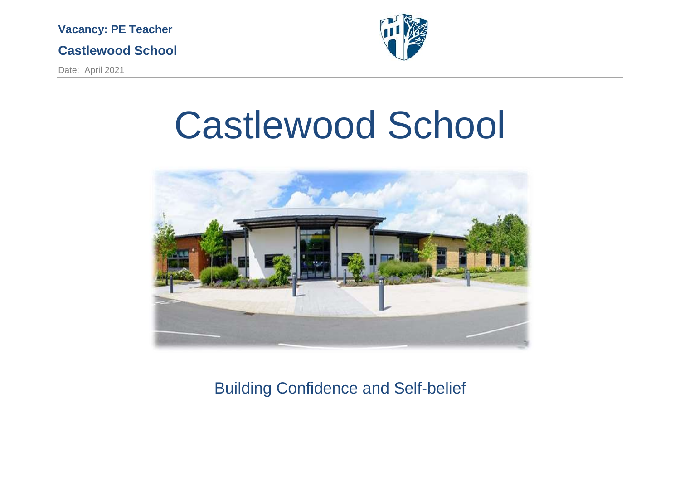## **Castlewood School**

Date: April 2021



# Castlewood School



Building Confidence and Self-belief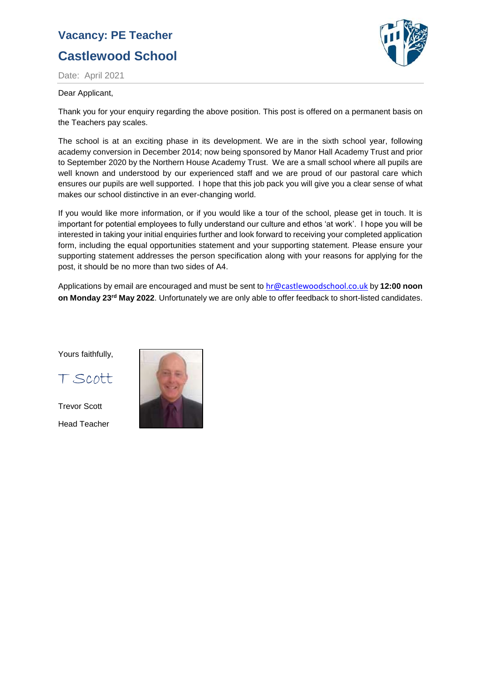## **Castlewood School**



Date: April 2021

#### Dear Applicant,

Thank you for your enquiry regarding the above position. This post is offered on a permanent basis on the Teachers pay scales.

The school is at an exciting phase in its development. We are in the sixth school year, following academy conversion in December 2014; now being sponsored by Manor Hall Academy Trust and prior to September 2020 by the Northern House Academy Trust. We are a small school where all pupils are well known and understood by our experienced staff and we are proud of our pastoral care which ensures our pupils are well supported. I hope that this job pack you will give you a clear sense of what makes our school distinctive in an ever-changing world.

If you would like more information, or if you would like a tour of the school, please get in touch. It is important for potential employees to fully understand our culture and ethos 'at work'. I hope you will be interested in taking your initial enquiries further and look forward to receiving your completed application form, including the equal opportunities statement and your supporting statement. Please ensure your supporting statement addresses the person specification along with your reasons for applying for the post, it should be no more than two sides of A4.

Applications by email are encouraged and must be sent to [hr@castlewoodschool.co.uk](mailto:hr@castlewoodschool.co.uk) by **12:00 noon on Monday 23rd May 2022**. Unfortunately we are only able to offer feedback to short-listed candidates.

Yours faithfully,

T Scott

Trevor Scott Head Teacher

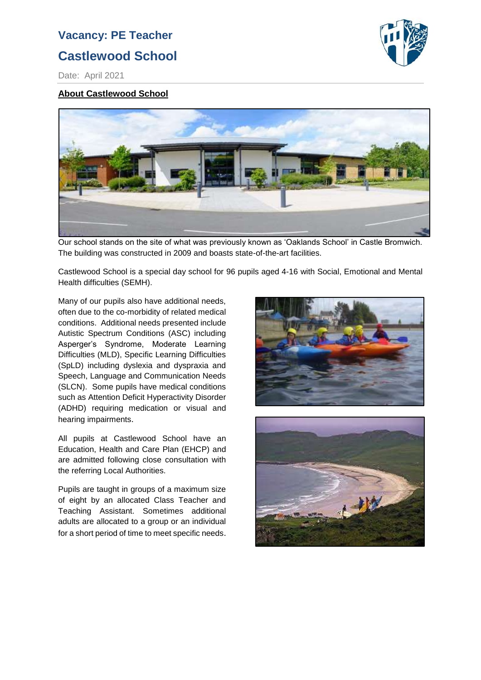## **Castlewood School**



Date: April 2021

#### **About Castlewood School**



Our school stands on the site of what was previously known as 'Oaklands School' in Castle Bromwich. The building was constructed in 2009 and boasts state-of-the-art facilities.

Castlewood School is a special day school for 96 pupils aged 4-16 with Social, Emotional and Mental Health difficulties (SEMH).

Many of our pupils also have additional needs, often due to the co-morbidity of related medical conditions. Additional needs presented include Autistic Spectrum Conditions (ASC) including Asperger's Syndrome, Moderate Learning Difficulties (MLD), Specific Learning Difficulties (SpLD) including dyslexia and dyspraxia and Speech, Language and Communication Needs (SLCN). Some pupils have medical conditions such as Attention Deficit Hyperactivity Disorder (ADHD) requiring medication or visual and hearing impairments.

All pupils at Castlewood School have an Education, Health and Care Plan (EHCP) and are admitted following close consultation with the referring Local Authorities.

Pupils are taught in groups of a maximum size of eight by an allocated Class Teacher and Teaching Assistant. Sometimes additional adults are allocated to a group or an individual for a short period of time to meet specific needs.



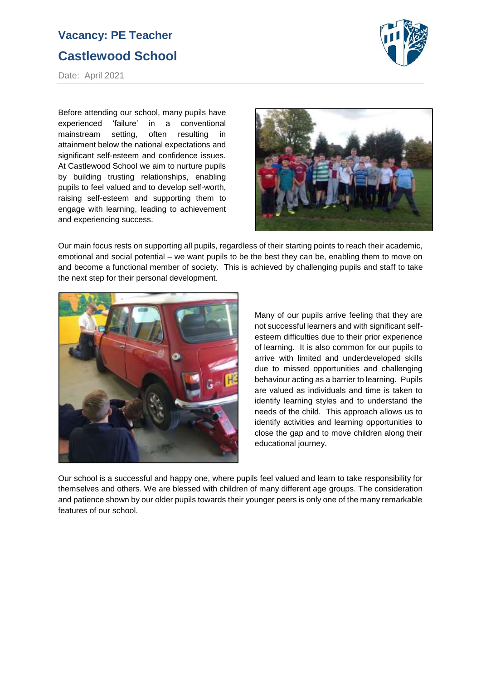## **Castlewood School**



Date: April 2021

Before attending our school, many pupils have experienced 'failure' in a conventional mainstream setting, often resulting in attainment below the national expectations and significant self-esteem and confidence issues. At Castlewood School we aim to nurture pupils by building trusting relationships, enabling pupils to feel valued and to develop self-worth, raising self-esteem and supporting them to engage with learning, leading to achievement and experiencing success.



Our main focus rests on supporting all pupils, regardless of their starting points to reach their academic, emotional and social potential – we want pupils to be the best they can be, enabling them to move on and become a functional member of society. This is achieved by challenging pupils and staff to take the next step for their personal development.



Many of our pupils arrive feeling that they are not successful learners and with significant selfesteem difficulties due to their prior experience of learning. It is also common for our pupils to arrive with limited and underdeveloped skills due to missed opportunities and challenging behaviour acting as a barrier to learning. Pupils are valued as individuals and time is taken to identify learning styles and to understand the needs of the child. This approach allows us to identify activities and learning opportunities to close the gap and to move children along their educational journey.

Our school is a successful and happy one, where pupils feel valued and learn to take responsibility for themselves and others. We are blessed with children of many different age groups. The consideration and patience shown by our older pupils towards their younger peers is only one of the many remarkable features of our school.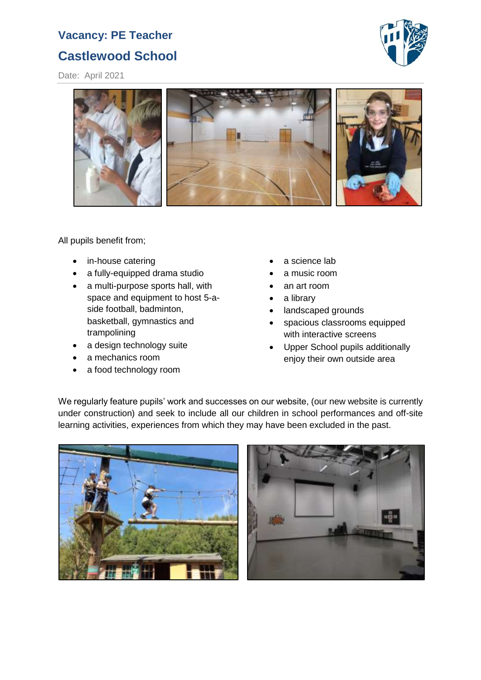## **Castlewood School**

Date: April 2021





All pupils benefit from;

- in-house catering
- a fully-equipped drama studio
- a multi-purpose sports hall, with space and equipment to host 5-aside football, badminton, basketball, gymnastics and trampolining
- a design technology suite
- a mechanics room
- a food technology room
- a science lab
- a music room
- an art room
- a library
- landscaped grounds
- spacious classrooms equipped with interactive screens
- Upper School pupils additionally enjoy their own outside area

We regularly feature pupils' work and successes on our website, (our new website is currently under construction) and seek to include all our children in school performances and off-site learning activities, experiences from which they may have been excluded in the past.



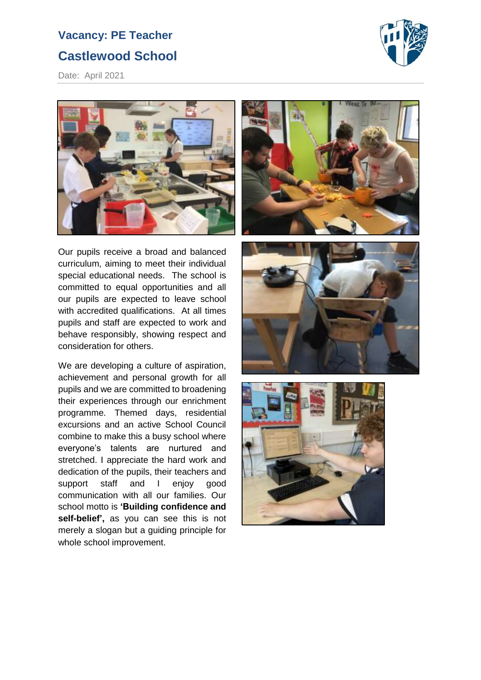## **Castlewood School**



Date: April 2021



Our pupils receive a broad and balanced curriculum, aiming to meet their individual special educational needs. The school is committed to equal opportunities and all our pupils are expected to leave school with accredited qualifications. At all times pupils and staff are expected to work and behave responsibly, showing respect and consideration for others.

We are developing a culture of aspiration, achievement and personal growth for all pupils and we are committed to broadening their experiences through our enrichment programme. Themed days, residential excursions and an active School Council combine to make this a busy school where everyone's talents are nurtured and stretched. I appreciate the hard work and dedication of the pupils, their teachers and support staff and I enjoy good communication with all our families. Our school motto is **'Building confidence and self-belief',** as you can see this is not merely a slogan but a guiding principle for whole school improvement.





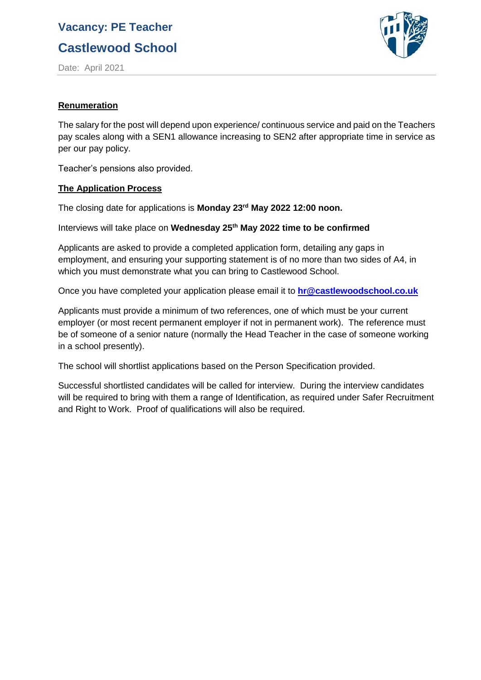**Castlewood School**



Date: April 2021

#### **Renumeration**

The salary for the post will depend upon experience/ continuous service and paid on the Teachers pay scales along with a SEN1 allowance increasing to SEN2 after appropriate time in service as per our pay policy.

Teacher's pensions also provided.

#### **The Application Process**

The closing date for applications is **Monday 23rd May 2022 12:00 noon.**

Interviews will take place on **Wednesday 25th May 2022 time to be confirmed**

Applicants are asked to provide a completed application form, detailing any gaps in employment, and ensuring your supporting statement is of no more than two sides of A4, in which you must demonstrate what you can bring to Castlewood School.

Once you have completed your application please email it to **[hr@castlewoodschool.co.uk](mailto:hr@castlewoodschool.co.uk)**

Applicants must provide a minimum of two references, one of which must be your current employer (or most recent permanent employer if not in permanent work). The reference must be of someone of a senior nature (normally the Head Teacher in the case of someone working in a school presently).

The school will shortlist applications based on the Person Specification provided.

Successful shortlisted candidates will be called for interview. During the interview candidates will be required to bring with them a range of Identification, as required under Safer Recruitment and Right to Work. Proof of qualifications will also be required.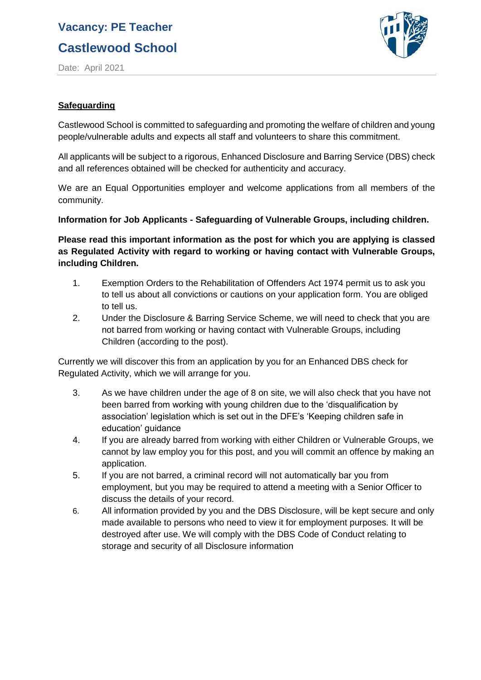## **Castlewood School**



Date: April 2021

#### **Safeguarding**

Castlewood School is committed to safeguarding and promoting the welfare of children and young people/vulnerable adults and expects all staff and volunteers to share this commitment.

All applicants will be subject to a rigorous, Enhanced Disclosure and Barring Service (DBS) check and all references obtained will be checked for authenticity and accuracy.

We are an Equal Opportunities employer and welcome applications from all members of the community.

#### **Information for Job Applicants - Safeguarding of Vulnerable Groups, including children.**

**Please read this important information as the post for which you are applying is classed as Regulated Activity with regard to working or having contact with Vulnerable Groups, including Children.**

- 1. Exemption Orders to the Rehabilitation of Offenders Act 1974 permit us to ask you to tell us about all convictions or cautions on your application form. You are obliged to tell us.
- 2. Under the Disclosure & Barring Service Scheme, we will need to check that you are not barred from working or having contact with Vulnerable Groups, including Children (according to the post).

Currently we will discover this from an application by you for an Enhanced DBS check for Regulated Activity, which we will arrange for you.

- 3. As we have children under the age of 8 on site, we will also check that you have not been barred from working with young children due to the 'disqualification by association' legislation which is set out in the DFE's 'Keeping children safe in education' guidance
- 4. If you are already barred from working with either Children or Vulnerable Groups, we cannot by law employ you for this post, and you will commit an offence by making an application.
- 5. If you are not barred, a criminal record will not automatically bar you from employment, but you may be required to attend a meeting with a Senior Officer to discuss the details of your record.
- 6. All information provided by you and the DBS Disclosure, will be kept secure and only made available to persons who need to view it for employment purposes. It will be destroyed after use. We will comply with the DBS Code of Conduct relating to storage and security of all Disclosure information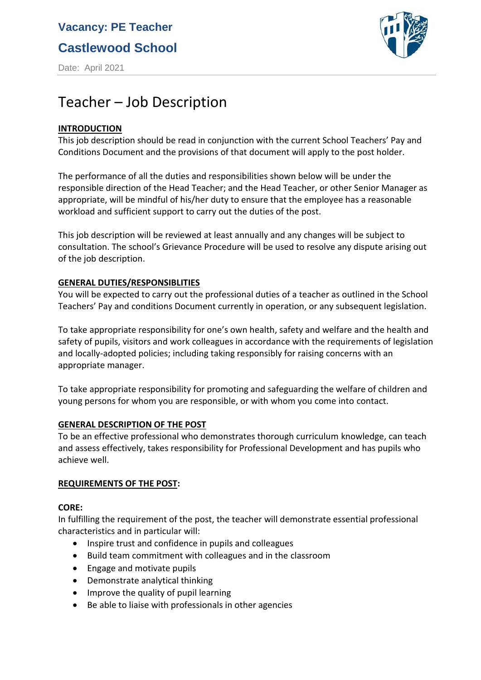**Castlewood School**

Date: April 2021



## Teacher – Job Description

#### **INTRODUCTION**

This job description should be read in conjunction with the current School Teachers' Pay and Conditions Document and the provisions of that document will apply to the post holder.

The performance of all the duties and responsibilities shown below will be under the responsible direction of the Head Teacher; and the Head Teacher, or other Senior Manager as appropriate, will be mindful of his/her duty to ensure that the employee has a reasonable workload and sufficient support to carry out the duties of the post.

This job description will be reviewed at least annually and any changes will be subject to consultation. The school's Grievance Procedure will be used to resolve any dispute arising out of the job description.

#### **GENERAL DUTIES/RESPONSIBLITIES**

You will be expected to carry out the professional duties of a teacher as outlined in the School Teachers' Pay and conditions Document currently in operation, or any subsequent legislation.

To take appropriate responsibility for one's own health, safety and welfare and the health and safety of pupils, visitors and work colleagues in accordance with the requirements of legislation and locally-adopted policies; including taking responsibly for raising concerns with an appropriate manager.

To take appropriate responsibility for promoting and safeguarding the welfare of children and young persons for whom you are responsible, or with whom you come into contact.

#### **GENERAL DESCRIPTION OF THE POST**

To be an effective professional who demonstrates thorough curriculum knowledge, can teach and assess effectively, takes responsibility for Professional Development and has pupils who achieve well.

#### **REQUIREMENTS OF THE POST:**

#### **CORE:**

In fulfilling the requirement of the post, the teacher will demonstrate essential professional characteristics and in particular will:

- Inspire trust and confidence in pupils and colleagues
- Build team commitment with colleagues and in the classroom
- Engage and motivate pupils
- Demonstrate analytical thinking
- Improve the quality of pupil learning
- Be able to liaise with professionals in other agencies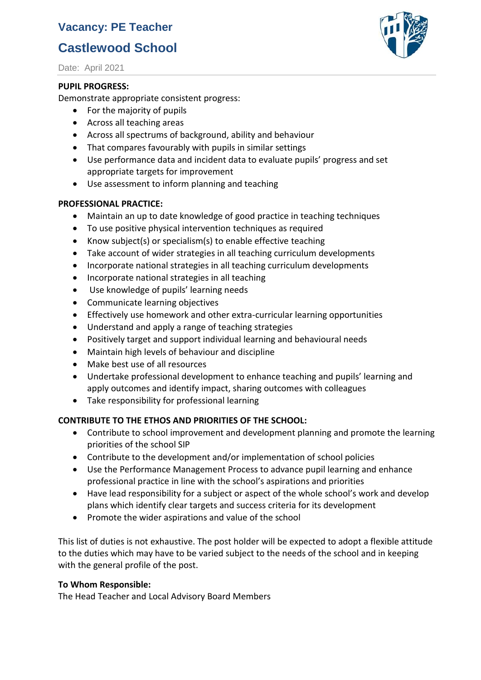## **Castlewood School**

Date: April 2021

#### **PUPIL PROGRESS:**

Demonstrate appropriate consistent progress:

- For the majority of pupils
- Across all teaching areas
- Across all spectrums of background, ability and behaviour
- That compares favourably with pupils in similar settings
- Use performance data and incident data to evaluate pupils' progress and set appropriate targets for improvement
- Use assessment to inform planning and teaching

#### **PROFESSIONAL PRACTICE:**

- Maintain an up to date knowledge of good practice in teaching techniques
- To use positive physical intervention techniques as required
- Know subject(s) or specialism(s) to enable effective teaching
- Take account of wider strategies in all teaching curriculum developments
- Incorporate national strategies in all teaching curriculum developments
- Incorporate national strategies in all teaching
- Use knowledge of pupils' learning needs
- Communicate learning objectives
- Effectively use homework and other extra-curricular learning opportunities
- Understand and apply a range of teaching strategies
- Positively target and support individual learning and behavioural needs
- Maintain high levels of behaviour and discipline
- Make best use of all resources
- Undertake professional development to enhance teaching and pupils' learning and apply outcomes and identify impact, sharing outcomes with colleagues
- Take responsibility for professional learning

#### **CONTRIBUTE TO THE ETHOS AND PRIORITIES OF THE SCHOOL:**

- Contribute to school improvement and development planning and promote the learning priorities of the school SIP
- Contribute to the development and/or implementation of school policies
- Use the Performance Management Process to advance pupil learning and enhance professional practice in line with the school's aspirations and priorities
- Have lead responsibility for a subject or aspect of the whole school's work and develop plans which identify clear targets and success criteria for its development
- Promote the wider aspirations and value of the school

This list of duties is not exhaustive. The post holder will be expected to adopt a flexible attitude to the duties which may have to be varied subject to the needs of the school and in keeping with the general profile of the post.

#### **To Whom Responsible:**

The Head Teacher and Local Advisory Board Members

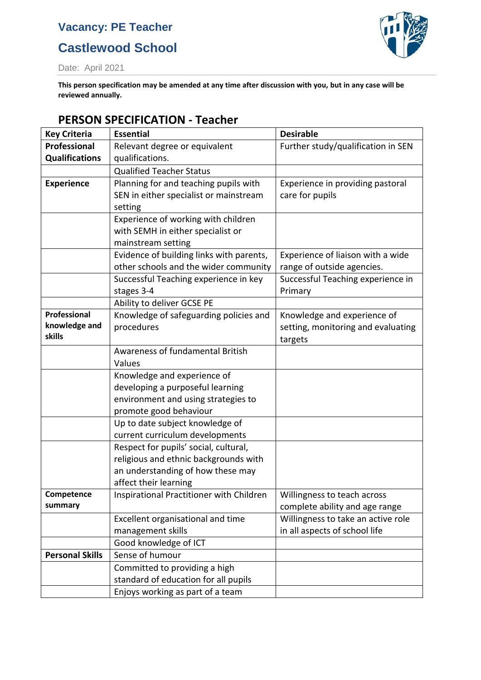## **Castlewood School**



Date: April 2021

**This person specification may be amended at any time after discussion with you, but in any case will be reviewed annually.**

#### **Key Criteria Essential Desirable Professional Qualifications** Relevant degree or equivalent qualifications. Further study/qualification in SEN Qualified Teacher Status **Experience** Planning for and teaching pupils with SEN in either specialist or mainstream setting Experience in providing pastoral care for pupils Experience of working with children with SEMH in either specialist or mainstream setting Evidence of building links with parents, other schools and the wider community Experience of liaison with a wide range of outside agencies. Successful Teaching experience in key stages 3-4 Successful Teaching experience in Primary Ability to deliver GCSE PE **Professional knowledge and skills** Knowledge of safeguarding policies and procedures Knowledge and experience of setting, monitoring and evaluating targets Awareness of fundamental British Values Knowledge and experience of developing a purposeful learning environment and using strategies to promote good behaviour Up to date subject knowledge of current curriculum developments Respect for pupils' social, cultural, religious and ethnic backgrounds with an understanding of how these may affect their learning **Competence summary** Inspirational Practitioner with Children  $\parallel$  Willingness to teach across complete ability and age range Excellent organisational and time management skills Willingness to take an active role in all aspects of school life Good knowledge of ICT **Personal Skills** | Sense of humour Committed to providing a high standard of education for all pupils

Enjoys working as part of a team

#### **PERSON SPECIFICATION - Teacher**